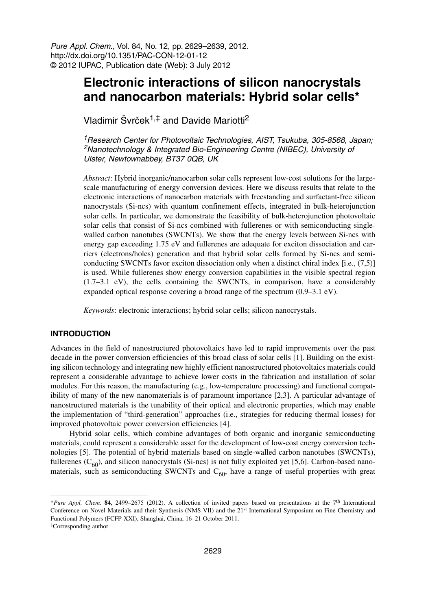Pure Appl. Chem., Vol. 84, No. 12, pp. 2629–2639, 2012. http://dx.doi.org/10.1351/PAC-CON-12-01-12 © 2012 IUPAC, Publication date (Web): 3 July 2012

# **Electronic interactions of silicon nanocrystals and nanocarbon materials: Hybrid solar cells\***

Vladimir Švrček1,‡ and Davide Mariotti2

<sup>1</sup>Research Center for Photovoltaic Technologies, AIST, Tsukuba, 305-8568, Japan; <sup>2</sup>Nanotechnology & Integrated Bio-Engineering Centre (NIBEC), University of Ulster, Newtownabbey, BT37 0QB, UK

*Abstract*: Hybrid inorganic/nanocarbon solar cells represent low-cost solutions for the largescale manufacturing of energy conversion devices. Here we discuss results that relate to the electronic interactions of nanocarbon materials with freestanding and surfactant-free silicon nanocrystals (Si-ncs) with quantum confinement effects, integrated in bulk-heterojunction solar cells. In particular, we demonstrate the feasibility of bulk-heterojunction photovoltaic solar cells that consist of Si-ncs combined with fullerenes or with semiconducting singlewalled carbon nanotubes (SWCNTs). We show that the energy levels between Si-ncs with energy gap exceeding 1.75 eV and fullerenes are adequate for exciton dissociation and carriers (electrons/holes) generation and that hybrid solar cells formed by Si-ncs and semi conducting SWCNTs favor exciton dissociation only when a distinct chiral index [i.e., (7,5)] is used. While fullerenes show energy conversion capabilities in the visible spectral region (1.7–3.1 eV), the cells containing the SWCNTs, in comparison, have a considerably expanded optical response covering a broad range of the spectrum (0.9–3.1 eV).

*Keywords*: electronic interactions; hybrid solar cells; silicon nanocrystals.

## **INTRODUCTION**

Advances in the field of nanostructured photovoltaics have led to rapid improvements over the past decade in the power conversion efficiencies of this broad class of solar cells [1]. Building on the existing silicon technology and integrating new highly efficient nanostructured photovoltaics materials could represent a considerable advantage to achieve lower costs in the fabrication and installation of solar modules. For this reason, the manufacturing (e.g., low-temperature processing) and functional compatibility of many of the new nanomaterials is of paramount importance [2,3]. A particular advantage of nanostructured materials is the tunability of their optical and electronic properties, which may enable the implementation of "third-generation" approaches (i.e., strategies for reducing thermal losses) for improved photovoltaic power conversion efficiencies [4].

Hybrid solar cells, which combine advantages of both organic and inorganic semiconducting materials, could represent a considerable asset for the development of low-cost energy conversion technologies [5]. The potential of hybrid materials based on single-walled carbon nanotubes (SWCNTs), fullerenes  $(C_{60})$ , and silicon nanocrystals (Si-ncs) is not fully exploited yet [5,6]. Carbon-based nanomaterials, such as semiconducting SWCNTs and  $C_{60}$ , have a range of useful properties with great

<sup>\*</sup>*Pure Appl. Chem*. **84**, 2499–2675 (2012). A collection of invited papers based on presentations at the 7th International Conference on Novel Materials and their Synthesis (NMS-VII) and the 21st International Symposium on Fine Chemistry and Functional Polymers (FCFP-XXI), Shanghai, China, 16–21 October 2011.

<sup>‡</sup>Corresponding author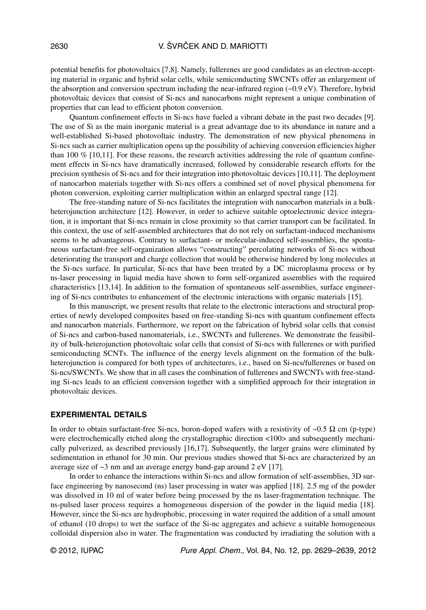potential benefits for photovoltaics [7,8]. Namely, fullerenes are good candidates as an electron-accepting material in organic and hybrid solar cells, while semiconducting SWCNTs offer an enlargement of the absorption and conversion spectrum including the near-infrared region (~0.9 eV). Therefore, hybrid photovoltaic devices that consist of Si-ncs and nanocarbons might represent a unique combination of properties that can lead to efficient photon conversion.

Quantum confinement effects in Si-ncs have fueled a vibrant debate in the past two decades [9]. The use of Si as the main inorganic material is a great advantage due to its abundance in nature and a well-established Si-based photovoltaic industry. The demonstration of new physical phenomena in Si-ncs such as carrier multiplication opens up the possibility of achieving conversion efficiencies higher than 100  $\%$  [10,11]. For these reasons, the research activities addressing the role of quantum confinement effects in Si-ncs have dramatically increased, followed by considerable research efforts for the precision synthesis of Si-ncs and for their integration into photovoltaic devices [10,11]. The deployment of nanocarbon materials together with Si-ncs offers a combined set of novel physical phenomena for photon conversion, exploiting carrier multiplication within an enlarged spectral range [12].

The free-standing nature of Si-ncs facilitates the integration with nanocarbon materials in a bulkheterojunction architecture [12]. However, in order to achieve suitable optoelectronic device integration, it is important that Si-ncs remain in close proximity so that carrier transport can be facilitated. In this context, the use of self-assembled architectures that do not rely on surfactant-induced mechanisms seems to be advantageous. Contrary to surfactant- or molecular-induced self-assemblies, the spontaneous surfactant-free self-organization allows "constructing" percolating networks of Si-ncs without deteriorating the transport and charge collection that would be otherwise hindered by long molecules at the Si-ncs surface. In particular, Si-ncs that have been treated by a DC microplasma process or by ns-laser processing in liquid media have shown to form self-organized assemblies with the required characteristics [13,14]. In addition to the formation of spontaneous self-assemblies, surface engineering of Si-ncs contributes to enhancement of the electronic interactions with organic materials [15].

In this manuscript, we present results that relate to the electronic interactions and structural properties of newly developed composites based on free-standing Si-ncs with quantum confinement effects and nanocarbon materials. Furthermore, we report on the fabrication of hybrid solar cells that consist of Si-ncs and carbon-based nanomaterials, i.e., SWCNTs and fullerenes. We demonstrate the feasibility of bulk-heterojunction photovoltaic solar cells that consist of Si-ncs with fullerenes or with purified semiconducting SCNTs. The influence of the energy levels alignment on the formation of the bulkheterojunction is compared for both types of architectures, i.e., based on Si-ncs/fullerenes or based on Si-ncs/SWCNTs. We show that in all cases the combination of fullerenes and SWCNTs with free-standing Si-ncs leads to an efficient conversion together with a simplified approach for their integration in photovoltaic devices.

## **EXPERIMENTAL DETAILS**

In order to obtain surfactant-free Si-ncs, boron-doped wafers with a resistivity of  $\sim$ 0.5 Ω cm (p-type) were electrochemically etched along the crystallographic direction <100> and subsequently mechanically pulverized, as described previously [16,17]. Subsequently, the larger grains were eliminated by sedimentation in ethanol for 30 min. Our previous studies showed that Si-ncs are characterized by an average size of  $\sim$ 3 nm and an average energy band-gap around 2 eV [17].

In order to enhance the interactions within Si-ncs and allow formation of self-assemblies, 3D surface engineering by nanosecond (ns) laser processing in water was applied [18]. 2.5 mg of the powder was dissolved in 10 ml of water before being processed by the ns laser-fragmentation technique. The ns-pulsed laser process requires a homogeneous dispersion of the powder in the liquid media [18]. However, since the Si-ncs are hydrophobic, processing in water required the addition of a small amount of ethanol (10 drops) to wet the surface of the Si-nc aggregates and achieve a suitable homogeneous colloidal dispersion also in water. The fragmentation was conducted by irradiating the solution with a

© 2012, IUPAC Pure Appl. Chem., Vol. 84, No. 12, pp. 2629–2639, 2012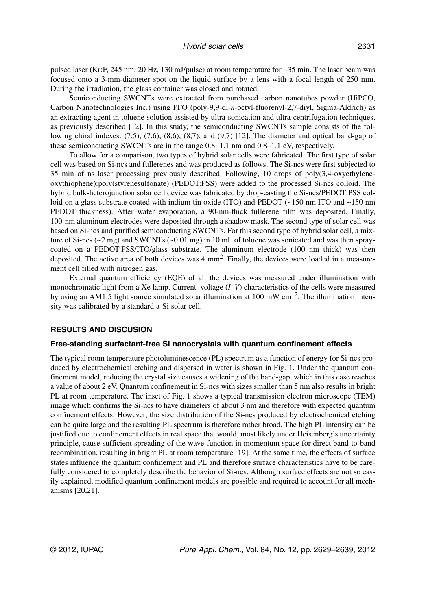pulsed laser (Kr:F, 245 nm, 20 Hz, 130 mJ/pulse) at room temperature for ~35 min. The laser beam was focused onto a 3-mm-diameter spot on the liquid surface by a lens with a focal length of 250 mm. During the irradiation, the glass container was closed and rotated.

Semiconducting SWCNTs were extracted from purchased carbon nanotubes powder (HiPCO, Carbon Nanotechnologies Inc.) using PFO (poly-9,9-di-*n*-octyl-fluorenyl-2,7-diyl, Sigma-Aldrich) as an extracting agent in toluene solution assisted by ultra-sonication and ultra-centrifugation techniques, as previously described [12]. In this study, the semiconducting SWCNTs sample consists of the following chiral indexes: (7,5), (7,6), (8,6), (8,7), and (9,7) [12]. The diameter and optical band-gap of these semiconducting SWCNTs are in the range 0.8~1.1 nm and 0.8–1.1 eV, respectively.

To allow for a comparison, two types of hybrid solar cells were fabricated. The first type of solar cell was based on Si-ncs and fullerenes and was produced as follows. The Si-ncs were first subjected to 35 min of ns laser processing previously described. Following, 10 drops of poly(3,4-oxyethyleneoxythiophene):poly(styrenesulfonate) (PEDOT:PSS) were added to the processed Si-ncs colloid. The hybrid bulk-heterojunction solar cell device was fabricated by drop-casting the Si-ncs/PEDOT:PSS colloid on a glass substrate coated with indium tin oxide (ITO) and PEDOT (~150 nm ITO and ~150 nm PEDOT thickness). After water evaporation, a 90-nm-thick fullerene film was deposited. Finally, 100-nm aluminum electrodes were deposited through a shadow mask. The second type of solar cell was based on Si-ncs and purified semiconducting SWCNTs. For this second type of hybrid solar cell, a mixture of Si-ncs ( $\sim$ 2 mg) and SWCNTs ( $\sim$ 0.01 mg) in 10 mL of toluene was sonicated and was then spraycoated on a PEDOT:PSS/ITO/glass substrate. The aluminum electrode (100 nm thick) was then deposited. The active area of both devices was 4 mm2. Finally, the devices were loaded in a measurement cell filled with nitrogen gas.

External quantum efficiency (EQE) of all the devices was measured under illumination with monochromatic light from a Xe lamp. Current–voltage (*I–V*) characteristics of the cells were measured by using an AM1.5 light source simulated solar illumination at 100 mW cm<sup>-2</sup>. The illumination intensity was calibrated by a standard a-Si solar cell.

#### **RESULTS AND DISCUSION**

#### **Free-standing surfactant-free Si nanocrystals with quantum confinement effects**

The typical room temperature photoluminescence (PL) spectrum as a function of energy for Si-ncs produced by electrochemical etching and dispersed in water is shown in Fig. 1. Under the quantum confinement model, reducing the crystal size causes a widening of the band-gap, which in this case reaches a value of about 2 eV. Quantum confinement in Si-ncs with sizes smaller than 5 nm also results in bright PL at room temperature. The inset of Fig. 1 shows a typical transmission electron microscope (TEM) image which confirms the Si-ncs to have diameters of about 3 nm and therefore with expected quantum confinement effects. However, the size distribution of the Si-ncs produced by electrochemical etching can be quite large and the resulting PL spectrum is therefore rather broad. The high PL intensity can be justified due to confinement effects in real space that would, most likely under Heisenberg's uncertainty principle, cause sufficient spreading of the wave-function in momentum space for direct band-to-band recombination, resulting in bright PL at room temperature [19]. At the same time, the effects of surface states influence the quantum confinement and PL and therefore surface characteristics have to be carefully considered to completely describe the behavior of Si-ncs. Although surface effects are not so easily explained, modified quantum confinement models are possible and required to account for all mechanisms [20,21].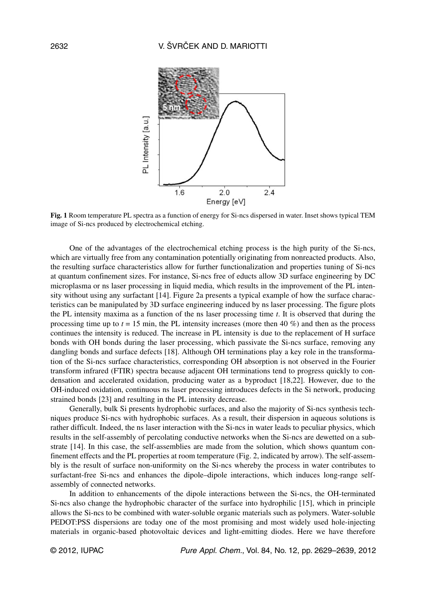

**Fig. 1** Room temperature PL spectra as a function of energy for Si-ncs dispersed in water. Inset shows typical TEM image of Si-ncs produced by electrochemical etching.

One of the advantages of the electrochemical etching process is the high purity of the Si-ncs, which are virtually free from any contamination potentially originating from nonreacted products. Also, the resulting surface characteristics allow for further functionalization and properties tuning of Si-ncs at quantum confinement sizes. For instance, Si-ncs free of educts allow 3D surface engineering by DC microplasma or ns laser processing in liquid media, which results in the improvement of the PL intensity without using any surfactant [14]. Figure 2a presents a typical example of how the surface characteristics can be manipulated by 3D surface engineering induced by ns laser processing. The figure plots the PL intensity maxima as a function of the ns laser processing time *t*. It is observed that during the processing time up to  $t = 15$  min, the PL intensity increases (more then 40 %) and then as the process continues the intensity is reduced. The increase in PL intensity is due to the replacement of H surface bonds with OH bonds during the laser processing, which passivate the Si-ncs surface, removing any dangling bonds and surface defects [18]. Although OH terminations play a key role in the transformation of the Si-ncs surface characteristics, corresponding OH absorption is not observed in the Fourier transform infrared (FTIR) spectra because adjacent OH terminations tend to progress quickly to condensation and accelerated oxidation, producing water as a byproduct [18,22]. However, due to the OH-induced oxidation, continuous ns laser processing introduces defects in the Si network, producing strained bonds [23] and resulting in the PL intensity decrease.

Generally, bulk Si presents hydrophobic surfaces, and also the majority of Si-ncs synthesis techniques produce Si-ncs with hydrophobic surfaces. As a result, their dispersion in aqueous solutions is rather difficult. Indeed, the ns laser interaction with the Si-ncs in water leads to peculiar physics, which results in the self-assembly of percolating conductive networks when the Si-ncs are dewetted on a substrate [14]. In this case, the self-assemblies are made from the solution, which shows quantum confinement effects and the PL properties at room temperature (Fig. 2, indicated by arrow). The self-assembly is the result of surface non-uniformity on the Si-ncs whereby the process in water contributes to surfactant-free Si-ncs and enhances the dipole–dipole interactions, which induces long-range selfassembly of connected networks.

In addition to enhancements of the dipole interactions between the Si-ncs, the OH-terminated Si-ncs also change the hydrophobic character of the surface into hydrophilic [15], which in principle allows the Si-ncs to be combined with water-soluble organic materials such as polymers. Water-soluble PEDOT:PSS dispersions are today one of the most promising and most widely used hole-injecting materials in organic-based photovoltaic devices and light-emitting diodes. Here we have therefore

© 2012, IUPAC Pure Appl. Chem., Vol. 84, No. 12, pp. 2629–2639, 2012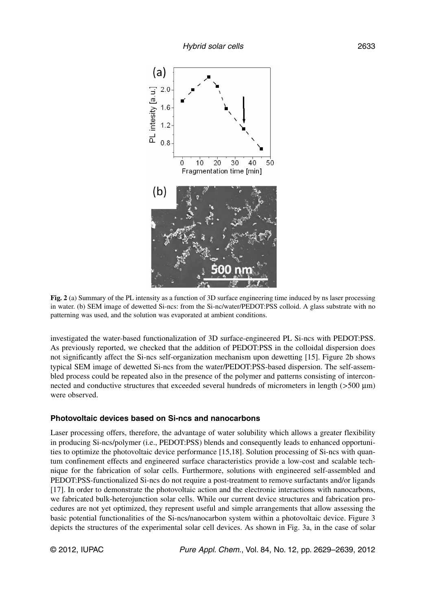

**Fig. 2** (a) Summary of the PL intensity as a function of 3D surface engineering time induced by ns laser processing in water. (b) SEM image of dewetted Si-ncs: from the Si-nc/water/PEDOT:PSS colloid. A glass substrate with no patterning was used, and the solution was evaporated at ambient conditions.

investigated the water-based functionalization of 3D surface-engineered PL Si-ncs with PEDOT:PSS. As previously reported, we checked that the addition of PEDOT:PSS in the colloidal dispersion does not significantly affect the Si-ncs self-organization mechanism upon dewetting [15]. Figure 2b shows typical SEM image of dewetted Si-ncs from the water/PEDOT:PSS-based dispersion. The self-assembled process could be repeated also in the presence of the polymer and patterns consisting of interconnected and conductive structures that exceeded several hundreds of micrometers in length (*>*500 μm) were observed.

## **Photovoltaic devices based on Si-ncs and nanocarbons**

Laser processing offers, therefore, the advantage of water solubility which allows a greater flexibility in producing Si-ncs/polymer (i.e., PEDOT:PSS) blends and consequently leads to enhanced opportunities to optimize the photovoltaic device performance [15,18]. Solution processing of Si-ncs with quantum confinement effects and engineered surface characteristics provide a low-cost and scalable technique for the fabrication of solar cells. Furthermore, solutions with engineered self-assembled and PEDOT:PSS-functionalized Si-ncs do not require a post-treatment to remove surfactants and/or ligands [17]. In order to demonstrate the photovoltaic action and the electronic interactions with nanocarbons, we fabricated bulk-heterojunction solar cells. While our current device structures and fabrication procedures are not yet optimized, they represent useful and simple arrangements that allow assessing the basic potential functionalities of the Si-ncs/nanocarbon system within a photovoltaic device. Figure 3 depicts the structures of the experimental solar cell devices. As shown in Fig. 3a, in the case of solar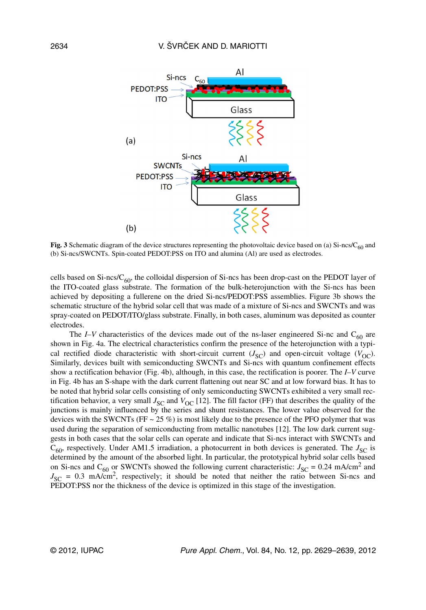

**Fig. 3** Schematic diagram of the device structures representing the photovoltaic device based on (a) Si-ncs/C<sub>60</sub> and (b) Si-ncs/SWCNTs. Spin-coated PEDOT:PSS on ITO and alumina (Al) are used as electrodes.

cells based on Si-ncs/ $C_{60}$ , the colloidal dispersion of Si-ncs has been drop-cast on the PEDOT layer of the ITO-coated glass substrate. The formation of the bulk-heterojunction with the Si-ncs has been achieved by depositing a fullerene on the dried Si-ncs/PEDOT:PSS assemblies. Figure 3b shows the schematic structure of the hybrid solar cell that was made of a mixture of Si-ncs and SWCNTs and was spray-coated on PEDOT/ITO/glass substrate. Finally, in both cases, aluminum was deposited as counter electrodes.

The *I–V* characteristics of the devices made out of the ns-laser engineered Si-nc and  $C_{60}$  are shown in Fig. 4a. The electrical characteristics confirm the presence of the heterojunction with a typical rectified diode characteristic with short-circuit current  $(J_{\rm SC})$  and open-circuit voltage  $(V_{\rm OC})$ . Similarly, devices built with semiconducting SWCNTs and Si-ncs with quantum confinement effects show a rectification behavior (Fig. 4b), although, in this case, the rectification is poorer. The *I–V* curve in Fig. 4b has an S-shape with the dark current flattening out near SC and at low forward bias. It has to be noted that hybrid solar cells consisting of only semiconducting SWCNTs exhibited a very small rectification behavior, a very small  $J_{SC}$  and  $V_{OC}$  [12]. The fill factor (FF) that describes the quality of the junctions is mainly influenced by the series and shunt resistances. The lower value observed for the devices with the SWCNTs (FF  $\sim$  25 %) is most likely due to the presence of the PFO polymer that was used during the separation of semiconducting from metallic nanotubes [12]. The low dark current suggests in both cases that the solar cells can operate and indicate that Si-ncs interact with SWCNTs and  $C_{60}$ , respectively. Under AM1.5 irradiation, a photocurrent in both devices is generated. The  $J_{SC}$  is determined by the amount of the absorbed light. In particular, the prototypical hybrid solar cells based on Si-ncs and C<sub>60</sub> or SWCNTs showed the following current characteristic:  $J_{SC} = 0.24 \text{ mA/cm}^2$  and  $J_{SC}$  = 0.3 mA/cm<sup>2</sup>, respectively; it should be noted that neither the ratio between Si-ncs and PEDOT:PSS nor the thickness of the device is optimized in this stage of the investigation.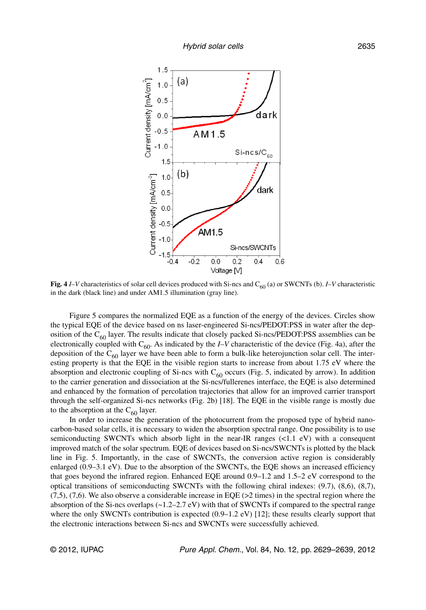

**Fig. 4** *I–V* characteristics of solar cell devices produced with Si-ncs and  $C_{60}$  (a) or SWCNTs (b). *I–V* characteristic in the dark (black line) and under AM1.5 illumination (gray line).

Figure 5 compares the normalized EQE as a function of the energy of the devices. Circles show the typical EQE of the device based on ns laser-engineered Si-ncs/PEDOT:PSS in water after the deposition of the  $C_{60}$  layer. The results indicate that closely packed Si-ncs/PEDOT:PSS assemblies can be electronically coupled with  $C_{60}$ . As indicated by the *I–V* characteristic of the device (Fig. 4a), after the deposition of the  $C_{60}$  layer we have been able to form a bulk-like heterojunction solar cell. The interesting property is that the EQE in the visible region starts to increase from about 1.75 eV where the absorption and electronic coupling of Si-ncs with  $C_{60}$  occurs (Fig. 5, indicated by arrow). In addition to the carrier generation and dissociation at the Si-ncs/fullerenes interface, the EQE is also determined and enhanced by the formation of percolation trajectories that allow for an improved carrier transport through the self-organized Si-ncs networks (Fig. 2b) [18]. The EQE in the visible range is mostly due to the absorption at the  $C_{60}$  layer.

In order to increase the generation of the photocurrent from the proposed type of hybrid nanocarbon-based solar cells, it is necessary to widen the absorption spectral range. One possibility is to use semiconducting SWCNTs which absorb light in the near-IR ranges (<1.1 eV) with a consequent improved match of the solar spectrum. EQE of devices based on Si-ncs/SWCNTs is plotted by the black line in Fig. 5. Importantly, in the case of SWCNTs, the conversion active region is considerably enlarged (0.9–3.1 eV). Due to the absorption of the SWCNTs, the EQE shows an increased efficiency that goes beyond the infrared region. Enhanced EQE around 0.9–1.2 and 1.5–2 eV correspond to the optical transitions of semiconducting SWCNTs with the following chiral indexes: (9.7), (8,6), (8,7),  $(7,5)$ ,  $(7,6)$ . We also observe a considerable increase in EQE ( $>2$  times) in the spectral region where the absorption of the Si-ncs overlaps  $(\sim 1.2-2.7 \text{ eV})$  with that of SWCNTs if compared to the spectral range where the only SWCNTs contribution is expected  $(0.9-1.2 \text{ eV})$  [12]; these results clearly support that the electronic interactions between Si-ncs and SWCNTs were successfully achieved.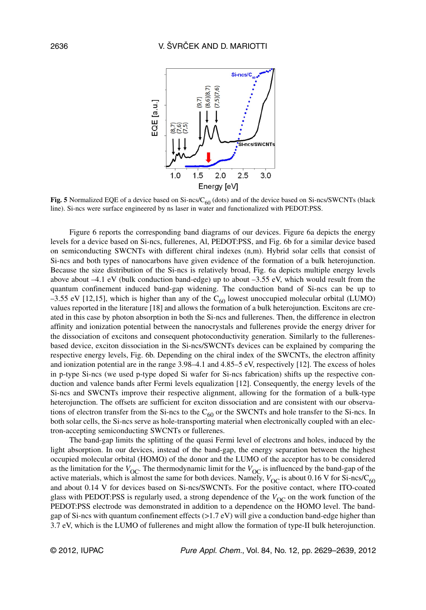

**Fig. 5** Normalized EQE of a device based on Si-ncs/ $C_{60}$  (dots) and of the device based on Si-ncs/SWCNTs (black line). Si-ncs were surface engineered by ns laser in water and functionalized with PEDOT:PSS.

Figure 6 reports the corresponding band diagrams of our devices. Figure 6a depicts the energy levels for a device based on Si-ncs, fullerenes, Al, PEDOT:PSS, and Fig. 6b for a similar device based on semiconducting SWCNTs with different chiral indexes (n,m). Hybrid solar cells that consist of Si-ncs and both types of nanocarbons have given evidence of the formation of a bulk heterojunction. Because the size distribution of the Si-ncs is relatively broad, Fig. 6a depicts multiple energy levels above about –4.1 eV (bulk conduction band-edge) up to about –3.55 eV, which would result from the quantum confinement induced band-gap widening. The conduction band of Si-ncs can be up to –3.55 eV [12,15], which is higher than any of the  $C_{60}$  lowest unoccupied molecular orbital (LUMO) values reported in the literature [18] and allows the formation of a bulk heterojunction. Excitons are created in this case by photon absorption in both the Si-ncs and fullerenes. Then, the difference in electron affinity and ionization potential between the nanocrystals and fullerenes provide the energy driver for the dissociation of excitons and consequent photoconductivity generation. Similarly to the fullerenesbased device, exciton dissociation in the Si-ncs/SWCNTs devices can be explained by comparing the respective energy levels, Fig. 6b. Depending on the chiral index of the SWCNTs, the electron affinity and ionization potential are in the range 3.98–4.1 and 4.85–5 eV, respectively [12]. The excess of holes in p-type Si-ncs (we used p-type doped Si wafer for Si-ncs fabrication) shifts up the respective conduction and valence bands after Fermi levels equalization [12]. Consequently, the energy levels of the Si-ncs and SWCNTs improve their respective alignment, allowing for the formation of a bulk-type heterojunction. The offsets are sufficient for exciton dissociation and are consistent with our observations of electron transfer from the Si-ncs to the  $C_{60}$  or the SWCNTs and hole transfer to the Si-ncs. In both solar cells, the Si-ncs serve as hole-transporting material when electronically coupled with an electron-accepting semiconducting SWCNTs or fullerenes.

The band-gap limits the splitting of the quasi Fermi level of electrons and holes, induced by the light absorption. In our devices, instead of the band-gap, the energy separation between the highest occupied molecular orbital (HOMO) of the donor and the LUMO of the acceptor has to be considered as the limitation for the *V*<sub>OC</sub>. The thermodynamic limit for the *V*<sub>OC</sub> is influenced by the band-gap of the active materials, which is almost the same for both devices. Namely,  $V_{OC}$  is about 0.16 V for Si-ncs/C<sub>60</sub> and about 0.14 V for devices based on Si-ncs/SWCNTs. For the positive contact, where ITO-coated glass with PEDOT:PSS is regularly used, a strong dependence of the  $V_{\text{OC}}$  on the work function of the PEDOT:PSS electrode was demonstrated in addition to a dependence on the HOMO level. The bandgap of Si-ncs with quantum confinement effects  $(>1.7 \text{ eV})$  will give a conduction band-edge higher than 3.7 eV, which is the LUMO of fullerenes and might allow the formation of type-II bulk heterojunction.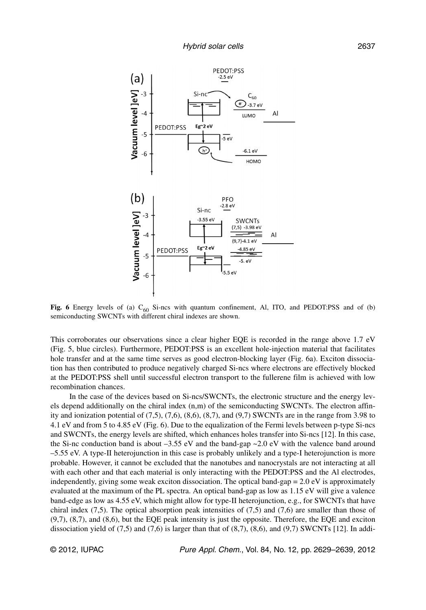

Fig. 6 Energy levels of (a)  $C_{60}$  Si-ncs with quantum confinement, Al, ITO, and PEDOT:PSS and of (b) semiconducting SWCNTs with different chiral indexes are shown.

This corroborates our observations since a clear higher EQE is recorded in the range above 1.7 eV (Fig. 5, blue circles). Furthermore, PEDOT:PSS is an excellent hole-injection material that facilitates hole transfer and at the same time serves as good electron-blocking layer (Fig. 6a). Exciton dissociation has then contributed to produce negatively charged Si-ncs where electrons are effectively blocked at the PEDOT:PSS shell until successful electron transport to the fullerene film is achieved with low recombination chances.

In the case of the devices based on Si-ncs/SWCNTs, the electronic structure and the energy levels depend additionally on the chiral index (n,m) of the semiconducting SWCNTs. The electron affinity and ionization potential of  $(7,5)$ ,  $(7,6)$ ,  $(8,6)$ ,  $(8,7)$ , and  $(9,7)$  SWCNTs are in the range from 3.98 to 4.1 eV and from 5 to 4.85 eV (Fig. 6). Due to the equalization of the Fermi levels between p-type Si-ncs and SWCNTs, the energy levels are shifted, which enhances holes transfer into Si-ncs [12]. In this case, the Si-nc conduction band is about  $-3.55$  eV and the band-gap  $\sim$  2.0 eV with the valence band around –5.55 eV. A type-II heterojunction in this case is probably unlikely and a type-I heterojunction is more probable. However, it cannot be excluded that the nanotubes and nanocrystals are not interacting at all with each other and that each material is only interacting with the PEDOT:PSS and the Al electrodes, independently, giving some weak exciton dissociation. The optical band-gap  $= 2.0 \text{ eV}$  is approximately evaluated at the maximum of the PL spectra. An optical band-gap as low as 1.15 eV will give a valence band-edge as low as 4.55 eV, which might allow for type-II heterojunction, e.g., for SWCNTs that have chiral index  $(7,5)$ . The optical absorption peak intensities of  $(7,5)$  and  $(7,6)$  are smaller than those of (9,7), (8,7), and (8,6), but the EQE peak intensity is just the opposite. Therefore, the EQE and exciton dissociation yield of  $(7,5)$  and  $(7,6)$  is larger than that of  $(8,7)$ ,  $(8,6)$ , and  $(9,7)$  SWCNTs [12]. In addi-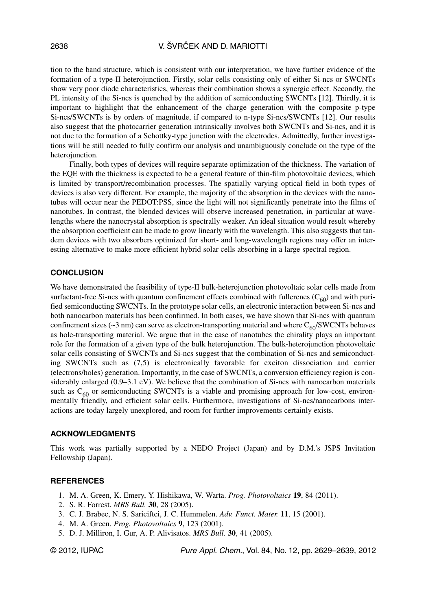tion to the band structure, which is consistent with our interpretation, we have further evidence of the formation of a type-II heterojunction. Firstly, solar cells consisting only of either Si-ncs or SWCNTs show very poor diode characteristics, whereas their combination shows a synergic effect. Secondly, the PL intensity of the Si-ncs is quenched by the addition of semiconducting SWCNTs [12]. Thirdly, it is important to highlight that the enhancement of the charge generation with the composite p-type Si-ncs/SWCNTs is by orders of magnitude, if compared to n-type Si-ncs/SWCNTs [12]. Our results also suggest that the photocarrier generation intrinsically involves both SWCNTs and Si-ncs, and it is not due to the formation of a Schottky-type junction with the electrodes. Admittedly, further investigations will be still needed to fully confirm our analysis and unambiguously conclude on the type of the heterojunction.

Finally, both types of devices will require separate optimization of the thickness. The variation of the EQE with the thickness is expected to be a general feature of thin-film photovoltaic devices, which is limited by transport/recombination processes. The spatially varying optical field in both types of devices is also very different. For example, the majority of the absorption in the devices with the nanotubes will occur near the PEDOT:PSS, since the light will not significantly penetrate into the films of nanotubes. In contrast, the blended devices will observe increased penetration, in particular at wavelengths where the nanocrystal absorption is spectrally weaker. An ideal situation would result whereby the absorption coefficient can be made to grow linearly with the wavelength. This also suggests that tandem devices with two absorbers optimized for short- and long-wavelength regions may offer an interesting alternative to make more efficient hybrid solar cells absorbing in a large spectral region.

## **CONCLUSION**

We have demonstrated the feasibility of type-II bulk-heterojunction photovoltaic solar cells made from surfactant-free Si-ncs with quantum confinement effects combined with fullerenes  $(C_{60})$  and with purified semiconducting SWCNTs. In the prototype solar cells, an electronic interaction between Si-ncs and both nanocarbon materials has been confirmed. In both cases, we have shown that Si-ncs with quantum confinement sizes ( $\sim$ 3 nm) can serve as electron-transporting material and where  $C_{60}/SWCNTs$  behaves as hole-transporting material. We argue that in the case of nanotubes the chirality plays an important role for the formation of a given type of the bulk heterojunction. The bulk-heterojunction photovoltaic solar cells consisting of SWCNTs and Si-ncs suggest that the combination of Si-ncs and semiconducting SWCNTs such as (7,5) is electronically favorable for exciton dissociation and carrier (electrons/holes) generation. Importantly, in the case of SWCNTs, a conversion efficiency region is considerably enlarged (0.9–3.1 eV). We believe that the combination of Si-ncs with nanocarbon materials such as  $C_{60}$  or semiconducting SWCNTs is a viable and promising approach for low-cost, environmentally friendly, and efficient solar cells. Furthermore, investigations of Si-ncs/nanocarbons interactions are today largely unexplored, and room for further improvements certainly exists.

## **ACKNOWLEDGMENTS**

This work was partially supported by a NEDO Project (Japan) and by D.M.'s JSPS Invitation Fellowship (Japan).

## **REFERENCES**

- 1. M. A. Green, K. Emery, Y. Hishikawa, W. Warta. *Prog. Photovoltaics* **19**, 84 (2011).
- 2. S. R. Forrest. *MRS Bull.* **30**, 28 (2005).
- 3. C. J. Brabec, N. S. Sariciftci, J. C. Hummelen. *Adv. Funct. Mater.* **11**, 15 (2001).
- 4. M. A. Green. *Prog. Photovoltaics* **9**, 123 (2001).
- 5. D. J. Milliron, I. Gur, A. P. Alivisatos. *MRS Bull.* **30**, 41 (2005).

© 2012, IUPAC Pure Appl. Chem., Vol. 84, No. 12, pp. 2629–2639, 2012